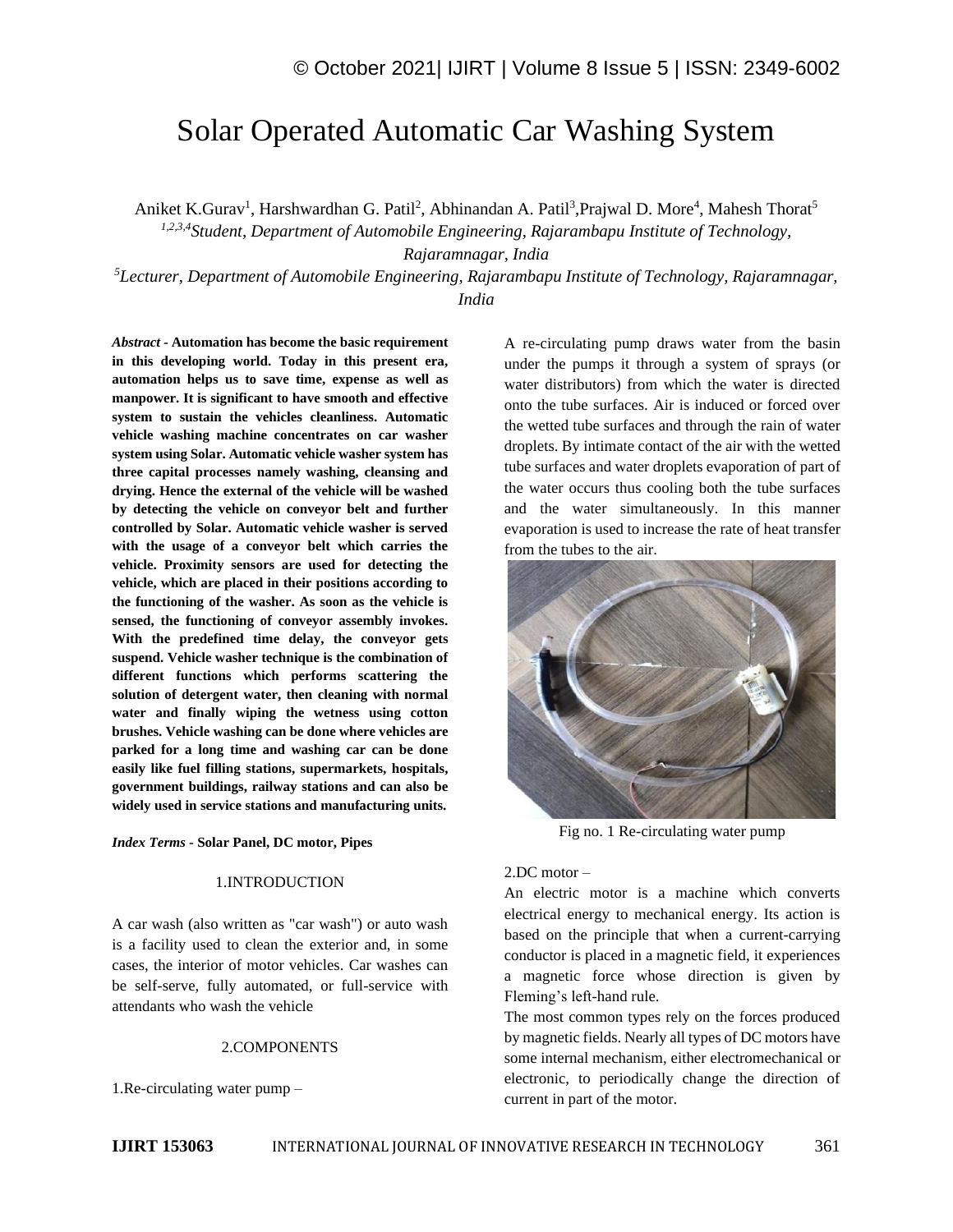# Solar Operated Automatic Car Washing System

Aniket K.Gurav<sup>1</sup>, Harshwardhan G. Patil<sup>2</sup>, Abhinandan A. Patil<sup>3</sup>, Prajwal D. More<sup>4</sup>, Mahesh Thorat<sup>5</sup>

*1,2,3,4Student, Department of Automobile Engineering, Rajarambapu Institute of Technology,* 

*Rajaramnagar, India*

*<sup>5</sup>Lecturer, Department of Automobile Engineering, Rajarambapu Institute of Technology, Rajaramnagar, India*

*Abstract -* **Automation has become the basic requirement in this developing world. Today in this present era, automation helps us to save time, expense as well as manpower. It is significant to have smooth and effective system to sustain the vehicles cleanliness. Automatic vehicle washing machine concentrates on car washer system using Solar. Automatic vehicle washer system has three capital processes namely washing, cleansing and drying. Hence the external of the vehicle will be washed by detecting the vehicle on conveyor belt and further controlled by Solar. Automatic vehicle washer is served with the usage of a conveyor belt which carries the vehicle. Proximity sensors are used for detecting the vehicle, which are placed in their positions according to the functioning of the washer. As soon as the vehicle is sensed, the functioning of conveyor assembly invokes. With the predefined time delay, the conveyor gets suspend. Vehicle washer technique is the combination of different functions which performs scattering the solution of detergent water, then cleaning with normal water and finally wiping the wetness using cotton brushes. Vehicle washing can be done where vehicles are parked for a long time and washing car can be done easily like fuel filling stations, supermarkets, hospitals, government buildings, railway stations and can also be widely used in service stations and manufacturing units.**

*Index Terms -* **Solar Panel, DC motor, Pipes**

#### 1.INTRODUCTION

A car wash (also written as "car wash") or auto wash is a facility used to clean the exterior and, in some cases, the interior of motor vehicles. Car washes can be self-serve, fully automated, or full-service with attendants who wash the vehicle

#### 2.COMPONENTS

1.Re-circulating water pump –

A re-circulating pump draws water from the basin under the pumps it through a system of sprays (or water distributors) from which the water is directed onto the tube surfaces. Air is induced or forced over the wetted tube surfaces and through the rain of water droplets. By intimate contact of the air with the wetted tube surfaces and water droplets evaporation of part of the water occurs thus cooling both the tube surfaces and the water simultaneously. In this manner evaporation is used to increase the rate of heat transfer from the tubes to the air.



Fig no. 1 Re-circulating water pump

## 2.DC motor –

An electric motor is a machine which converts electrical energy to mechanical energy. Its action is based on the principle that when a current-carrying conductor is placed in a magnetic field, it experiences a magnetic force whose direction is given by Fleming's left-hand rule.

The most common types rely on the forces produced by magnetic fields. Nearly all types of DC motors have some internal mechanism, either electromechanical or electronic, to periodically change the direction of current in part of the motor.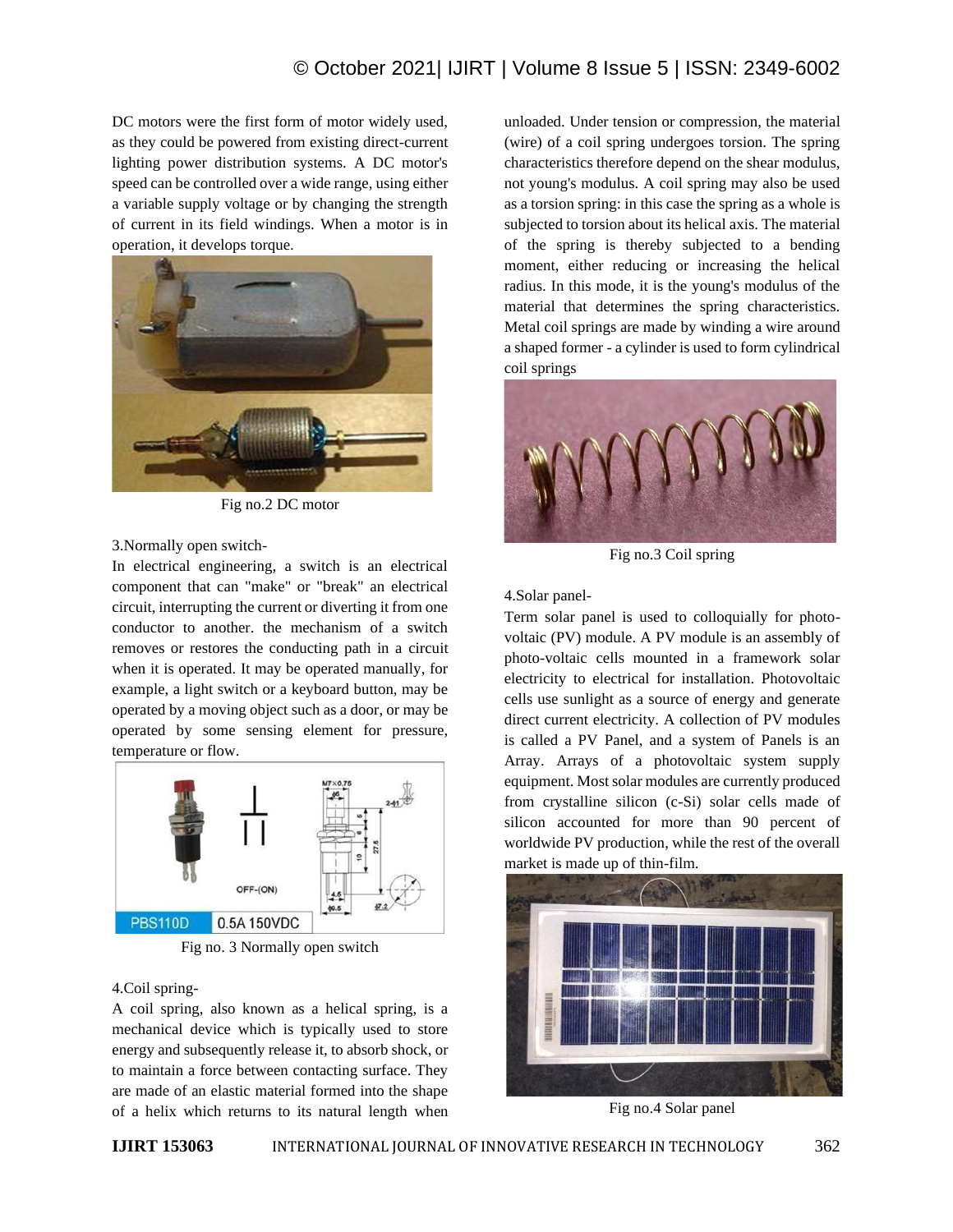## © October 2021| IJIRT | Volume 8 Issue 5 | ISSN: 2349-6002

DC motors were the first form of motor widely used, as they could be powered from existing direct-current lighting power distribution systems. A DC motor's speed can be controlled over a wide range, using either a variable supply voltage or by changing the strength of current in its field windings. When a motor is in operation, it develops torque.



Fig no.2 DC motor

#### 3.Normally open switch-

In electrical engineering, a switch is an electrical component that can "make" or "break" an electrical circuit, interrupting the current or diverting it from one conductor to another. the mechanism of a switch removes or restores the conducting path in a circuit when it is operated. It may be operated manually, for example, a light switch or a keyboard button, may be operated by a moving object such as a door, or may be operated by some sensing element for pressure, temperature or flow.



Fig no. 3 Normally open switch

### 4.Coil spring-

A coil spring, also known as a helical spring, is a mechanical device which is typically used to store energy and subsequently release it, to absorb shock, or to maintain a force between contacting surface. They are made of an elastic material formed into the shape of a helix which returns to its natural length when unloaded. Under tension or compression, the material (wire) of a coil spring undergoes torsion. The spring characteristics therefore depend on the shear modulus, not young's modulus. A coil spring may also be used as a torsion spring: in this case the spring as a whole is subjected to torsion about its helical axis. The material of the spring is thereby subjected to a bending moment, either reducing or increasing the helical radius. In this mode, it is the young's modulus of the material that determines the spring characteristics. Metal coil springs are made by winding a wire around a shaped former - a cylinder is used to form cylindrical coil springs



Fig no.3 Coil spring

#### 4.Solar panel-

Term solar panel is used to colloquially for photovoltaic (PV) module. A PV module is an assembly of photo-voltaic cells mounted in a framework solar electricity to electrical for installation. Photovoltaic cells use sunlight as a source of energy and generate direct current electricity. A collection of PV modules is called a PV Panel, and a system of Panels is an Array. Arrays of a photovoltaic system supply equipment. Most solar modules are currently produced from crystalline silicon (c-Si) solar cells made of silicon accounted for more than 90 percent of worldwide PV production, while the rest of the overall market is made up of thin-film.



Fig no.4 Solar panel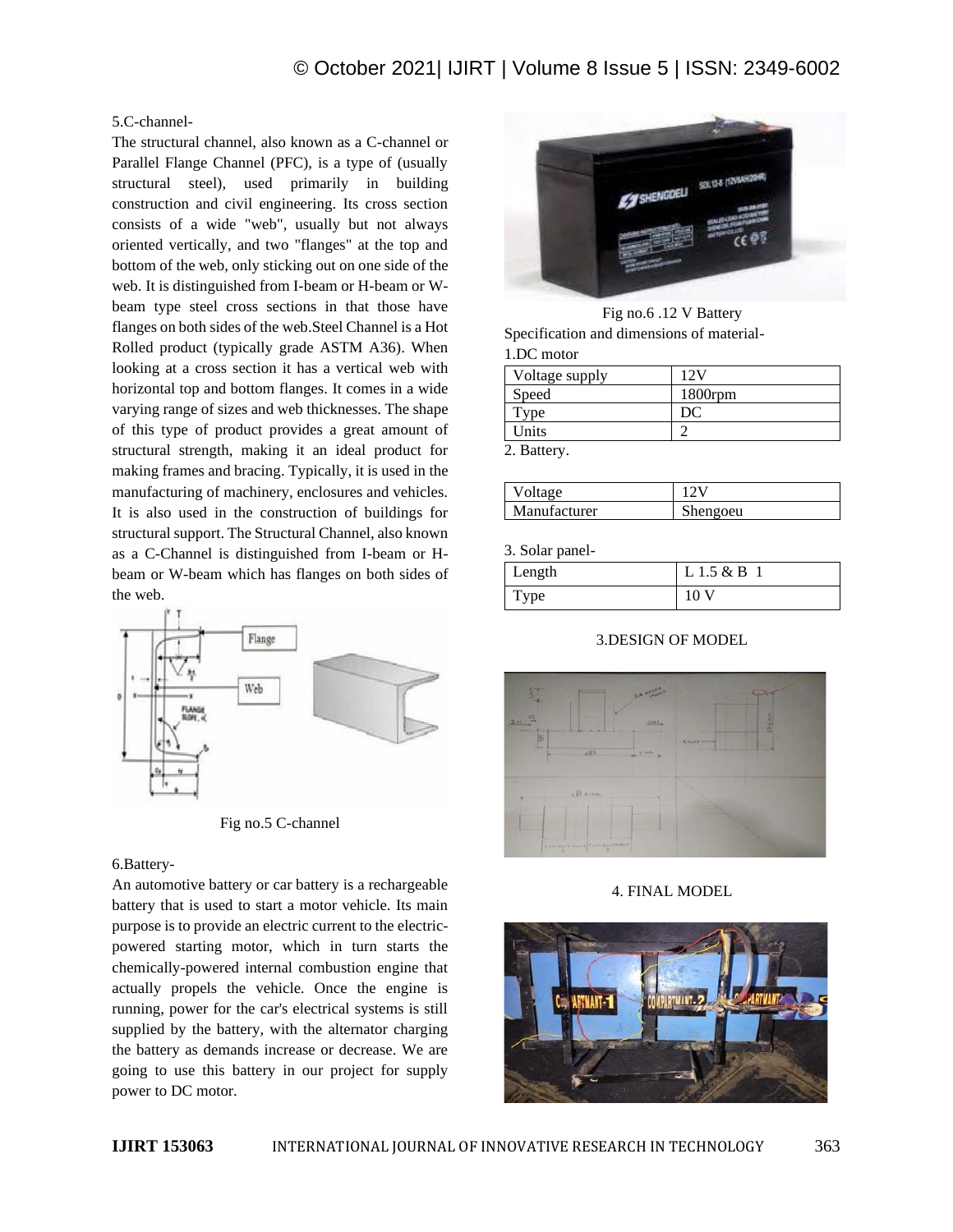## 5.C-channel-

The structural channel, also known as a C-channel or Parallel Flange Channel (PFC), is a type of (usually structural steel), used primarily in building construction and civil engineering. Its cross section consists of a wide "web", usually but not always oriented vertically, and two "flanges" at the top and bottom of the web, only sticking out on one side of the web. It is distinguished from I-beam or H-beam or Wbeam type steel cross sections in that those have flanges on both sides of the web.Steel Channel is a Hot Rolled product (typically grade ASTM A36). When looking at a cross section it has a vertical web with horizontal top and bottom flanges. It comes in a wide varying range of sizes and web thicknesses. The shape of this type of product provides a great amount of structural strength, making it an ideal product for making frames and bracing. Typically, it is used in the manufacturing of machinery, enclosures and vehicles. It is also used in the construction of buildings for structural support. The Structural Channel, also known as a C-Channel is distinguished from I-beam or Hbeam or W-beam which has flanges on both sides of the web.



Fig no.5 C-channel

## 6.Battery-

An automotive battery or car battery is a rechargeable battery that is used to start a motor vehicle. Its main purpose is to provide an electric current to the electricpowered starting motor, which in turn starts the chemically-powered internal combustion engine that actually propels the vehicle. Once the engine is running, power for the car's electrical systems is still supplied by the battery, with the alternator charging the battery as demands increase or decrease. We are going to use this battery in our project for supply power to DC motor.



Fig no.6 .12 V Battery Specification and dimensions of material-1.DC motor

| Voltage supply | ، 77       |
|----------------|------------|
| Speed          | $1800$ rpm |
| vpe:           |            |
| Units          |            |
| $ -$           |            |

2. Battery.

| Voltage      |          |
|--------------|----------|
| Manufacturer | Shengoeu |

3. Solar panel-

| Length      | L 1.5 & B |
|-------------|-----------|
| <b>Type</b> | 10        |

## 3.DESIGN OF MODEL



#### 4. FINAL MODEL